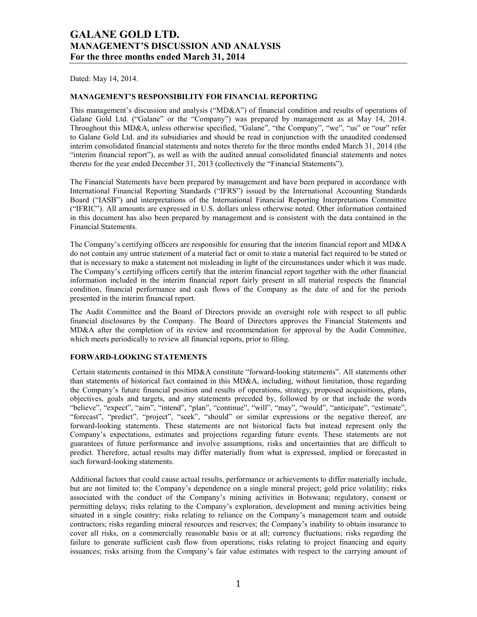Dated: May 14, 2014.

### **MANAGEMENT'S RESPONSIBILITY FOR FINANCIAL REPORTING**

This management's discussion and analysis ("MD&A") of financial condition and results of operations of Galane Gold Ltd. ("Galane" or the "Company") was prepared by management as at May 14, 2014. Throughout this MD&A, unless otherwise specified, "Galane", "the Company", "we", "us" or "our" refer to Galane Gold Ltd. and its subsidiaries and should be read in conjunction with the unaudited condensed interim consolidated financial statements and notes thereto for the three months ended March 31, 2014 (the "interim financial report"), as well as with the audited annual consolidated financial statements and notes thereto for the year ended December 31, 2013 (collectively the "Financial Statements").

The Financial Statements have been prepared by management and have been prepared in accordance with International Financial Reporting Standards ("IFRS") issued by the International Accounting Standards Board ("IASB") and interpretations of the International Financial Reporting Interpretations Committee ("IFRIC"). All amounts are expressed in U.S. dollars unless otherwise noted. Other information contained in this document has also been prepared by management and is consistent with the data contained in the Financial Statements.

The Company's certifying officers are responsible for ensuring that the interim financial report and MD&A do not contain any untrue statement of a material fact or omit to state a material fact required to be stated or that is necessary to make a statement not misleading in light of the circumstances under which it was made. The Company's certifying officers certify that the interim financial report together with the other financial information included in the interim financial report fairly present in all material respects the financial condition, financial performance and cash flows of the Company as the date of and for the periods presented in the interim financial report.

The Audit Committee and the Board of Directors provide an oversight role with respect to all public financial disclosures by the Company. The Board of Directors approves the Financial Statements and MD&A after the completion of its review and recommendation for approval by the Audit Committee, which meets periodically to review all financial reports, prior to filing.

## **FORWARD-LOOKING STATEMENTS**

Certain statements contained in this MD&A constitute "forward-looking statements". All statements other than statements of historical fact contained in this MD&A, including, without limitation, those regarding the Company's future financial position and results of operations, strategy, proposed acquisitions, plans, objectives, goals and targets, and any statements preceded by, followed by or that include the words "believe", "expect", "aim", "intend", "plan", "continue", "will", "may", "would", "anticipate", "estimate", "forecast", "predict", "project", "seek", "should" or similar expressions or the negative thereof, are forward-looking statements. These statements are not historical facts but instead represent only the Company's expectations, estimates and projections regarding future events. These statements are not guarantees of future performance and involve assumptions, risks and uncertainties that are difficult to predict. Therefore, actual results may differ materially from what is expressed, implied or forecasted in such forward-looking statements.

Additional factors that could cause actual results, performance or achievements to differ materially include, but are not limited to: the Company's dependence on a single mineral project; gold price volatility; risks associated with the conduct of the Company's mining activities in Botswana; regulatory, consent or permitting delays; risks relating to the Company's exploration, development and mining activities being situated in a single country; risks relating to reliance on the Company's management team and outside contractors; risks regarding mineral resources and reserves; the Company's inability to obtain insurance to cover all risks, on a commercially reasonable basis or at all; currency fluctuations; risks regarding the failure to generate sufficient cash flow from operations; risks relating to project financing and equity issuances; risks arising from the Company's fair value estimates with respect to the carrying amount of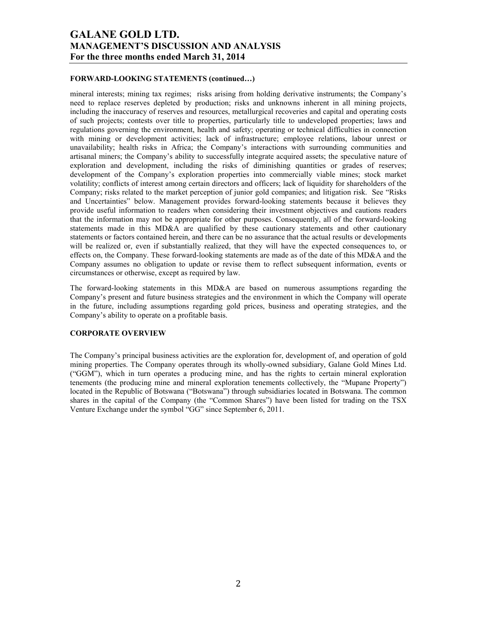#### **FORWARD-LOOKING STATEMENTS (continued…)**

mineral interests; mining tax regimes; risks arising from holding derivative instruments; the Company's need to replace reserves depleted by production; risks and unknowns inherent in all mining projects, including the inaccuracy of reserves and resources, metallurgical recoveries and capital and operating costs of such projects; contests over title to properties, particularly title to undeveloped properties; laws and regulations governing the environment, health and safety; operating or technical difficulties in connection with mining or development activities; lack of infrastructure; employee relations, labour unrest or unavailability; health risks in Africa; the Company's interactions with surrounding communities and artisanal miners; the Company's ability to successfully integrate acquired assets; the speculative nature of exploration and development, including the risks of diminishing quantities or grades of reserves; development of the Company's exploration properties into commercially viable mines; stock market volatility; conflicts of interest among certain directors and officers; lack of liquidity for shareholders of the Company; risks related to the market perception of junior gold companies; and litigation risk. See "Risks and Uncertainties" below. Management provides forward-looking statements because it believes they provide useful information to readers when considering their investment objectives and cautions readers that the information may not be appropriate for other purposes. Consequently, all of the forward-looking statements made in this MD&A are qualified by these cautionary statements and other cautionary statements or factors contained herein, and there can be no assurance that the actual results or developments will be realized or, even if substantially realized, that they will have the expected consequences to, or effects on, the Company. These forward-looking statements are made as of the date of this MD&A and the Company assumes no obligation to update or revise them to reflect subsequent information, events or circumstances or otherwise, except as required by law.

The forward-looking statements in this MD&A are based on numerous assumptions regarding the Company's present and future business strategies and the environment in which the Company will operate in the future, including assumptions regarding gold prices, business and operating strategies, and the Company's ability to operate on a profitable basis.

### **CORPORATE OVERVIEW**

The Company's principal business activities are the exploration for, development of, and operation of gold mining properties. The Company operates through its wholly-owned subsidiary, Galane Gold Mines Ltd. ("GGM"), which in turn operates a producing mine, and has the rights to certain mineral exploration tenements (the producing mine and mineral exploration tenements collectively, the "Mupane Property") located in the Republic of Botswana ("Botswana") through subsidiaries located in Botswana. The common shares in the capital of the Company (the "Common Shares") have been listed for trading on the TSX Venture Exchange under the symbol "GG" since September 6, 2011.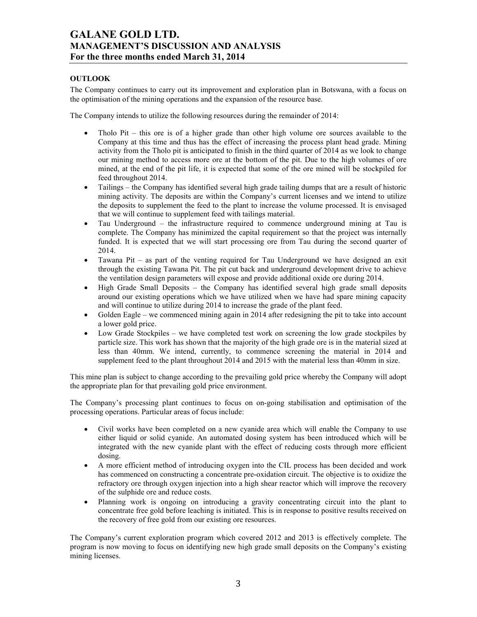## **OUTLOOK**

The Company continues to carry out its improvement and exploration plan in Botswana, with a focus on the optimisation of the mining operations and the expansion of the resource base.

The Company intends to utilize the following resources during the remainder of 2014:

- Tholo Pit this ore is of a higher grade than other high volume ore sources available to the Company at this time and thus has the effect of increasing the process plant head grade. Mining activity from the Tholo pit is anticipated to finish in the third quarter of 2014 as we look to change our mining method to access more ore at the bottom of the pit. Due to the high volumes of ore mined, at the end of the pit life, it is expected that some of the ore mined will be stockpiled for feed throughout 2014.
- Tailings the Company has identified several high grade tailing dumps that are a result of historic mining activity. The deposits are within the Company's current licenses and we intend to utilize the deposits to supplement the feed to the plant to increase the volume processed. It is envisaged that we will continue to supplement feed with tailings material.
- Tau Underground the infrastructure required to commence underground mining at Tau is complete. The Company has minimized the capital requirement so that the project was internally funded. It is expected that we will start processing ore from Tau during the second quarter of 2014.
- Tawana Pit as part of the venting required for Tau Underground we have designed an exit through the existing Tawana Pit. The pit cut back and underground development drive to achieve the ventilation design parameters will expose and provide additional oxide ore during 2014.
- High Grade Small Deposits the Company has identified several high grade small deposits around our existing operations which we have utilized when we have had spare mining capacity and will continue to utilize during 2014 to increase the grade of the plant feed.
- Golden Eagle we commenced mining again in 2014 after redesigning the pit to take into account a lower gold price.
- Low Grade Stockpiles we have completed test work on screening the low grade stockpiles by particle size. This work has shown that the majority of the high grade ore is in the material sized at less than 40mm. We intend, currently, to commence screening the material in 2014 and supplement feed to the plant throughout 2014 and 2015 with the material less than 40mm in size.

This mine plan is subject to change according to the prevailing gold price whereby the Company will adopt the appropriate plan for that prevailing gold price environment.

The Company's processing plant continues to focus on on-going stabilisation and optimisation of the processing operations. Particular areas of focus include:

- Civil works have been completed on a new cyanide area which will enable the Company to use either liquid or solid cyanide. An automated dosing system has been introduced which will be integrated with the new cyanide plant with the effect of reducing costs through more efficient dosing.
- A more efficient method of introducing oxygen into the CIL process has been decided and work has commenced on constructing a concentrate pre-oxidation circuit. The objective is to oxidize the refractory ore through oxygen injection into a high shear reactor which will improve the recovery of the sulphide ore and reduce costs.
- Planning work is ongoing on introducing a gravity concentrating circuit into the plant to concentrate free gold before leaching is initiated. This is in response to positive results received on the recovery of free gold from our existing ore resources.

The Company's current exploration program which covered 2012 and 2013 is effectively complete. The program is now moving to focus on identifying new high grade small deposits on the Company's existing mining licenses.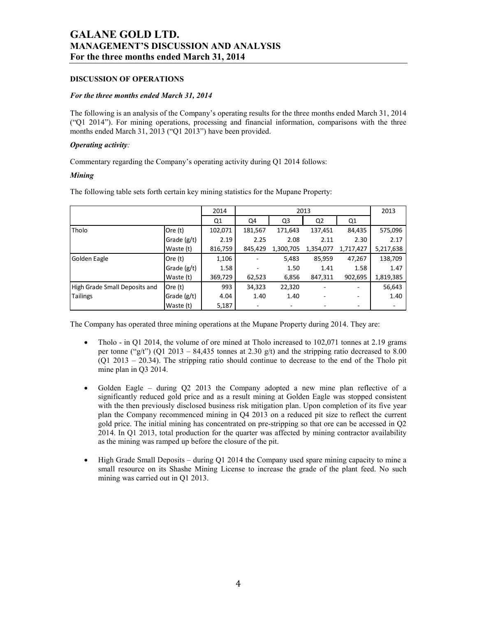## **DISCUSSION OF OPERATIONS**

#### *For the three months ended March 31, 2014*

The following is an analysis of the Company's operating results for the three months ended March 31, 2014 ("Q1 2014"). For mining operations, processing and financial information, comparisons with the three months ended March 31, 2013 ("Q1 2013") have been provided.

## *Operating activity:*

Commentary regarding the Company's operating activity during Q1 2014 follows:

### *Mining*

The following table sets forth certain key mining statistics for the Mupane Property:

|                               |               | 2014           |         |           | 2013           |                |           |
|-------------------------------|---------------|----------------|---------|-----------|----------------|----------------|-----------|
|                               |               | Q <sub>1</sub> | Q4      | Q3        | Q <sub>2</sub> | Q <sub>1</sub> |           |
| Tholo                         | Ore $(t)$     | 102,071        | 181,567 | 171,643   | 137,451        | 84,435         | 575,096   |
|                               | Grade $(g/t)$ | 2.19           | 2.25    | 2.08      | 2.11           | 2.30           | 2.17      |
|                               | Waste (t)     | 816,759        | 845,429 | 1,300,705 | 1,354,077      | 1,717,427      | 5,217,638 |
| Golden Eagle                  | Ore (t)       | 1,106          |         | 5,483     | 85,959         | 47,267         | 138,709   |
|                               | Grade $(g/t)$ | 1.58           |         | 1.50      | 1.41           | 1.58           | 1.47      |
|                               | Waste (t)     | 369,729        | 62,523  | 6,856     | 847,311        | 902,695        | 1,819,385 |
| High Grade Small Deposits and | Ore $(t)$     | 993            | 34,323  | 22,320    |                |                | 56,643    |
| <b>Tailings</b>               | Grade $(g/t)$ | 4.04           | 1.40    | 1.40      |                | ۰              | 1.40      |
|                               | Waste (t)     | 5,187          |         |           |                |                |           |

The Company has operated three mining operations at the Mupane Property during 2014. They are:

- Tholo in Q1 2014, the volume of ore mined at Tholo increased to 102,071 tonnes at 2.19 grams per tonne ("g/t") (Q1 2013 – 84,435 tonnes at 2.30 g/t) and the stripping ratio decreased to 8.00  $(Q1 2013 - 20.34)$ . The stripping ratio should continue to decrease to the end of the Tholo pit mine plan in Q3 2014.
- Golden Eagle during Q2 2013 the Company adopted a new mine plan reflective of a significantly reduced gold price and as a result mining at Golden Eagle was stopped consistent with the then previously disclosed business risk mitigation plan. Upon completion of its five year plan the Company recommenced mining in Q4 2013 on a reduced pit size to reflect the current gold price. The initial mining has concentrated on pre-stripping so that ore can be accessed in Q2 2014. In Q1 2013, total production for the quarter was affected by mining contractor availability as the mining was ramped up before the closure of the pit.
- High Grade Small Deposits during Q1 2014 the Company used spare mining capacity to mine a small resource on its Shashe Mining License to increase the grade of the plant feed. No such mining was carried out in Q1 2013.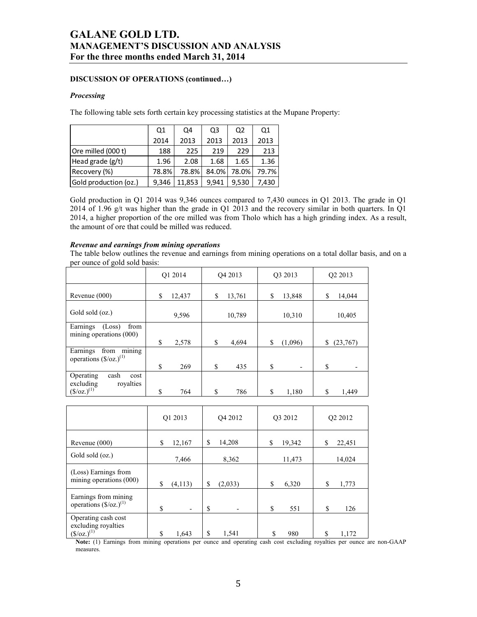## **DISCUSSION OF OPERATIONS (continued…)**

#### *Processing*

The following table sets forth certain key processing statistics at the Mupane Property:

|                       | Q1    | Q4     | Q3    | Q <sub>2</sub> | Q1    |
|-----------------------|-------|--------|-------|----------------|-------|
|                       | 2014  | 2013   | 2013  | 2013           | 2013  |
| Ore milled (000 t)    | 188   | 225    | 219   | 229            | 213   |
| Head grade (g/t)      | 1.96  | 2.08   | 1.68  | 1.65           | 1.36  |
| Recovery (%)          | 78.8% | 78.8%  | 84.0% | 78.0%          | 79.7% |
| Gold production (oz.) | 9,346 | 11.853 | 9.941 | 9.530          | 7,430 |

Gold production in Q1 2014 was 9,346 ounces compared to 7,430 ounces in Q1 2013. The grade in Q1 2014 of 1.96 g/t was higher than the grade in Q1 2013 and the recovery similar in both quarters. In Q1 2014, a higher proportion of the ore milled was from Tholo which has a high grinding index. As a result, the amount of ore that could be milled was reduced.

#### *Revenue and earnings from mining operations*

The table below outlines the revenue and earnings from mining operations on a total dollar basis, and on a per ounce of gold sold basis:

|                                                                      | O1 2014      | O <sub>4</sub> 2013 | O3 2013                        | O <sub>2</sub> 2013 |
|----------------------------------------------------------------------|--------------|---------------------|--------------------------------|---------------------|
| Revenue (000)                                                        | 12,437<br>\$ | \$<br>13,761        | \$<br>13,848                   | 14,044<br>\$        |
| Gold sold (oz.)                                                      | 9,596        | 10,789              | 10,310                         | 10,405              |
| Earnings<br>from<br>(Loss)<br>mining operations $(000)$              | \$<br>2,578  | \$<br>4,694         | \$<br>(1,096)                  | \$<br>(23,767)      |
| mining<br>Earnings<br>from<br>operations $(\frac{6}{\alpha}z)^{(1)}$ |              |                     |                                |                     |
| Operating<br>cash<br>cost                                            | \$<br>269    | \$<br>435           | \$<br>$\overline{\phantom{0}}$ | \$                  |
| excluding<br>rovalties<br>$(\frac{\csc(1)}{2})^{(1)}$                | \$<br>764    | S<br>786            | \$<br>1,180                    | \$<br>1.449         |

|                                                                     | Q1 2013                  | Q4 2012     | Q3 2012 | O <sub>2</sub> 2012 |  |
|---------------------------------------------------------------------|--------------------------|-------------|---------|---------------------|--|
| Revenue (000)                                                       | \$                       | \$          | \$      | \$                  |  |
|                                                                     | 12,167                   | 14,208      | 19,342  | 22,451              |  |
| Gold sold (oz.)                                                     | 7,466                    | 8,362       | 11,473  | 14,024              |  |
| (Loss) Earnings from                                                | \$                       | \$          | \$      | \$                  |  |
| mining operations (000)                                             | (4,113)                  | (2,033)     | 6,320   | 1,773               |  |
| Earnings from mining                                                | \$                       | \$          | \$      | \$                  |  |
| operations $(\frac{6}{\alpha}z)^{(1)}$                              | $\overline{\phantom{a}}$ | ٠           | 551     | 126                 |  |
| Operating cash cost<br>excluding royalties<br>$({\rm S}/oz.)^{(1)}$ | \$<br>1,643              | \$<br>1,541 | 980     | \$<br>1,172         |  |

**Note:** (1) Earnings from mining operations per ounce and operating cash cost excluding royalties per ounce are non-GAAP measures.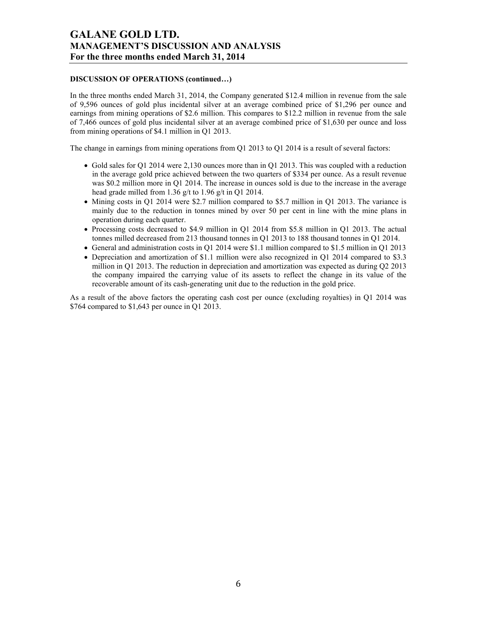## **DISCUSSION OF OPERATIONS (continued…)**

In the three months ended March 31, 2014, the Company generated \$12.4 million in revenue from the sale of 9,596 ounces of gold plus incidental silver at an average combined price of \$1,296 per ounce and earnings from mining operations of \$2.6 million. This compares to \$12.2 million in revenue from the sale of 7,466 ounces of gold plus incidental silver at an average combined price of \$1,630 per ounce and loss from mining operations of \$4.1 million in Q1 2013.

The change in earnings from mining operations from Q1 2013 to Q1 2014 is a result of several factors:

- Gold sales for Q1 2014 were 2,130 ounces more than in Q1 2013. This was coupled with a reduction in the average gold price achieved between the two quarters of \$334 per ounce. As a result revenue was \$0.2 million more in Q1 2014. The increase in ounces sold is due to the increase in the average head grade milled from 1.36 g/t to 1.96 g/t in Q1 2014.
- Mining costs in Q1 2014 were \$2.7 million compared to \$5.7 million in Q1 2013. The variance is mainly due to the reduction in tonnes mined by over 50 per cent in line with the mine plans in operation during each quarter.
- Processing costs decreased to \$4.9 million in Q1 2014 from \$5.8 million in Q1 2013. The actual tonnes milled decreased from 213 thousand tonnes in Q1 2013 to 188 thousand tonnes in Q1 2014.
- General and administration costs in Q1 2014 were \$1.1 million compared to \$1.5 million in Q1 2013
- Depreciation and amortization of \$1.1 million were also recognized in Q1 2014 compared to \$3.3 million in Q1 2013. The reduction in depreciation and amortization was expected as during Q2 2013 the company impaired the carrying value of its assets to reflect the change in its value of the recoverable amount of its cash-generating unit due to the reduction in the gold price.

As a result of the above factors the operating cash cost per ounce (excluding royalties) in Q1 2014 was \$764 compared to \$1,643 per ounce in Q1 2013.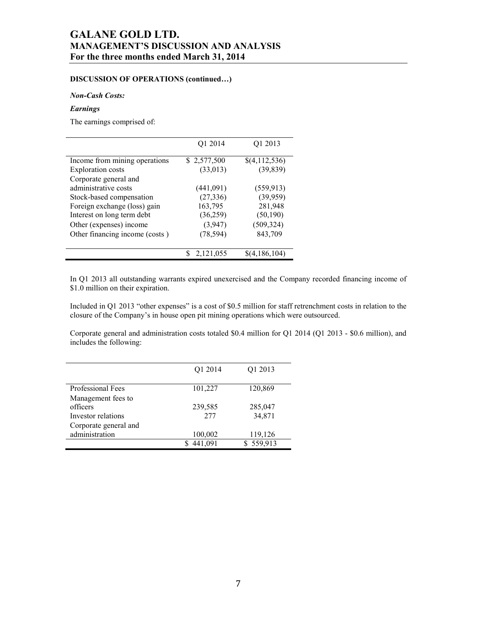## **DISCUSSION OF OPERATIONS (continued…)**

## *Non-Cash Costs:*

## *Earnings*

The earnings comprised of:

| Q1 2014<br>\$2,577,500<br>(33, 013) | Q1 2013<br>\$(4,112,536) |
|-------------------------------------|--------------------------|
|                                     |                          |
|                                     |                          |
|                                     | (39, 839)                |
|                                     |                          |
| (441,091)                           | (559, 913)               |
| (27, 336)                           | (39, 959)                |
| 163,795                             | 281,948                  |
| (36,259)                            | (50, 190)                |
| (3,947)                             | (509, 324)               |
| (78, 594)                           | 843,709                  |
| 2,121,055                           | \$(4,186,104)            |
|                                     |                          |

In Q1 2013 all outstanding warrants expired unexercised and the Company recorded financing income of \$1.0 million on their expiration.

Included in Q1 2013 "other expenses" is a cost of \$0.5 million for staff retrenchment costs in relation to the closure of the Company's in house open pit mining operations which were outsourced.

Corporate general and administration costs totaled \$0.4 million for Q1 2014 (Q1 2013 - \$0.6 million), and includes the following:

|                                | Q1 2014      | Q1 2013   |
|--------------------------------|--------------|-----------|
| Professional Fees              | 101,227      | 120,869   |
| Management fees to<br>officers | 239,585      | 285,047   |
| Investor relations             | 277          | 34,871    |
| Corporate general and          |              |           |
| administration                 | 100,002      | 119,126   |
|                                | 441,091<br>S | \$559,913 |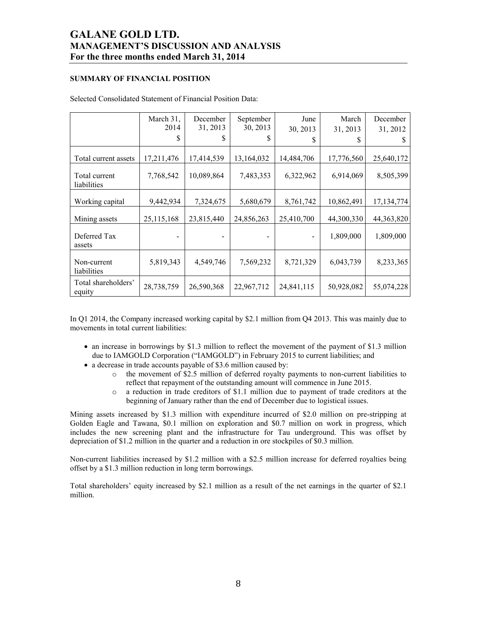## **SUMMARY OF FINANCIAL POSITION**

|                               | March 31,  | December   | September  | June       | March      | December     |
|-------------------------------|------------|------------|------------|------------|------------|--------------|
|                               | 2014       | 31, 2013   | 30, 2013   | 30, 2013   | 31, 2013   | 31, 2012     |
|                               | S          | S          | S          | S          |            | S            |
| Total current assets          | 17,211,476 | 17,414,539 | 13,164,032 | 14,484,706 | 17,776,560 | 25,640,172   |
| Total current<br>liabilities  | 7,768,542  | 10,089,864 | 7,483,353  | 6,322,962  | 6,914,069  | 8,505,399    |
| Working capital               | 9,442,934  | 7,324,675  | 5,680,679  | 8,761,742  | 10,862,491 | 17, 134, 774 |
| Mining assets                 | 25,115,168 | 23,815,440 | 24,856,263 | 25,410,700 | 44,300,330 | 44, 363, 820 |
| Deferred Tax<br>assets        |            |            |            |            | 1,809,000  | 1,809,000    |
| Non-current<br>liabilities    | 5,819,343  | 4,549,746  | 7,569,232  | 8,721,329  | 6,043,739  | 8,233,365    |
| Total shareholders'<br>equity | 28,738,759 | 26,590,368 | 22,967,712 | 24,841,115 | 50,928,082 | 55,074,228   |

Selected Consolidated Statement of Financial Position Data:

In Q1 2014, the Company increased working capital by \$2.1 million from Q4 2013. This was mainly due to movements in total current liabilities:

- an increase in borrowings by \$1.3 million to reflect the movement of the payment of \$1.3 million due to IAMGOLD Corporation ("IAMGOLD") in February 2015 to current liabilities; and
- a decrease in trade accounts payable of \$3.6 million caused by:
	- $\circ$  the movement of \$2.5 million of deferred royalty payments to non-current liabilities to reflect that repayment of the outstanding amount will commence in June 2015.
	- o a reduction in trade creditors of \$1.1 million due to payment of trade creditors at the beginning of January rather than the end of December due to logistical issues.

Mining assets increased by \$1.3 million with expenditure incurred of \$2.0 million on pre-stripping at Golden Eagle and Tawana, \$0.1 million on exploration and \$0.7 million on work in progress, which includes the new screening plant and the infrastructure for Tau underground. This was offset by depreciation of \$1.2 million in the quarter and a reduction in ore stockpiles of \$0.3 million.

Non-current liabilities increased by \$1.2 million with a \$2.5 million increase for deferred royalties being offset by a \$1.3 million reduction in long term borrowings.

Total shareholders' equity increased by \$2.1 million as a result of the net earnings in the quarter of \$2.1 million.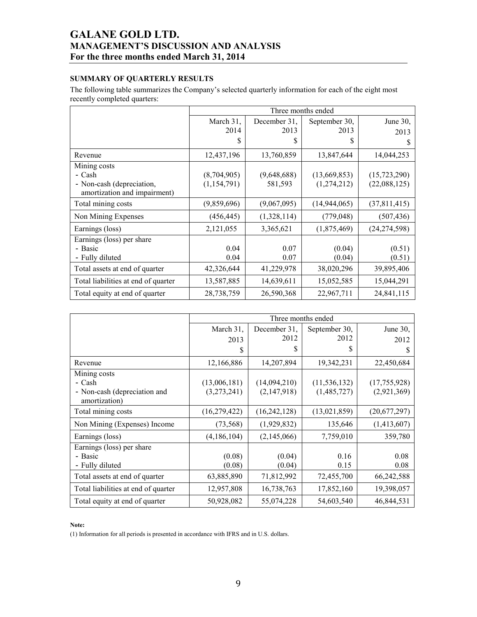## **SUMMARY OF QUARTERLY RESULTS**

The following table summarizes the Company's selected quarterly information for each of the eight most recently completed quarters:

|                                     | Three months ended |              |                |                |  |  |  |  |
|-------------------------------------|--------------------|--------------|----------------|----------------|--|--|--|--|
|                                     | March 31,          | December 31, | September 30,  | June 30,       |  |  |  |  |
|                                     | 2014               | 2013         | 2013           | 2013           |  |  |  |  |
|                                     | S                  | \$           | S              | S              |  |  |  |  |
| Revenue                             | 12,437,196         | 13,760,859   | 13,847,644     | 14,044,253     |  |  |  |  |
| Mining costs                        |                    |              |                |                |  |  |  |  |
| - Cash                              | (8,704,905)        | (9,648,688)  | (13,669,853)   | (15, 723, 290) |  |  |  |  |
| - Non-cash (depreciation,           | (1, 154, 791)      | 581,593      | (1,274,212)    | (22,088,125)   |  |  |  |  |
| amortization and impairment)        |                    |              |                |                |  |  |  |  |
| Total mining costs                  | (9,859,696)        | (9,067,095)  | (14, 944, 065) | (37,811,415)   |  |  |  |  |
| Non Mining Expenses                 | (456, 445)         | (1,328,114)  | (779, 048)     | (507, 436)     |  |  |  |  |
| Earnings (loss)                     | 2,121,055          | 3,365,621    | (1,875,469)    | (24, 274, 598) |  |  |  |  |
| Earnings (loss) per share           |                    |              |                |                |  |  |  |  |
| - Basic                             | 0.04               | 0.07         | (0.04)         | (0.51)         |  |  |  |  |
| - Fully diluted                     | 0.04               | 0.07         | (0.04)         | (0.51)         |  |  |  |  |
| Total assets at end of quarter      | 42,326,644         | 41,229,978   | 38,020,296     | 39,895,406     |  |  |  |  |
| Total liabilities at end of quarter | 13,587,885         | 14,639,611   | 15,052,585     | 15,044,291     |  |  |  |  |
| Total equity at end of quarter      | 28,738,759         | 26,590,368   | 22,967,711     | 24,841,115     |  |  |  |  |

|                                                                         | Three months ended          |                             |                               |                             |  |  |  |
|-------------------------------------------------------------------------|-----------------------------|-----------------------------|-------------------------------|-----------------------------|--|--|--|
|                                                                         | March 31,<br>2013           | December 31,<br>2012        | September 30,<br>2012         | June $30$ ,<br>2012         |  |  |  |
|                                                                         | \$                          | S                           | \$                            | S                           |  |  |  |
| Revenue                                                                 | 12,166,886                  | 14,207,894                  | 19,342,231                    | 22,450,684                  |  |  |  |
| Mining costs<br>- Cash<br>- Non-cash (depreciation and<br>amortization) | (13,006,181)<br>(3,273,241) | (14,094,210)<br>(2,147,918) | (11, 536, 132)<br>(1,485,727) | (17,755,928)<br>(2,921,369) |  |  |  |
| Total mining costs                                                      | (16, 279, 422)              | (16, 242, 128)              | (13,021,859)                  | (20,677,297)                |  |  |  |
| Non Mining (Expenses) Income                                            | (73, 568)                   | (1,929,832)                 | 135,646                       | (1,413,607)                 |  |  |  |
| Earnings (loss)                                                         | (4,186,104)                 | (2,145,066)                 | 7,759,010                     | 359,780                     |  |  |  |
| Earnings (loss) per share<br>- Basic<br>- Fully diluted                 | (0.08)<br>(0.08)            | (0.04)<br>(0.04)            | 0.16<br>0.15                  | 0.08<br>0.08                |  |  |  |
| Total assets at end of quarter                                          | 63,885,890                  | 71,812,992                  | 72,455,700                    | 66,242,588                  |  |  |  |
| Total liabilities at end of quarter                                     | 12,957,808                  | 16,738,763                  | 17,852,160                    | 19,398,057                  |  |  |  |
| Total equity at end of quarter                                          | 50,928,082                  | 55,074,228                  | 54,603,540                    | 46,844,531                  |  |  |  |

#### **Note:**

(1) Information for all periods is presented in accordance with IFRS and in U.S. dollars.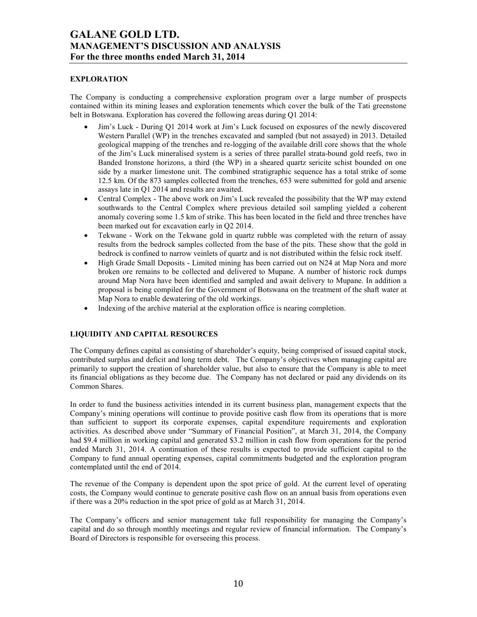## **EXPLORATION**

The Company is conducting a comprehensive exploration program over a large number of prospects contained within its mining leases and exploration tenements which cover the bulk of the Tati greenstone belt in Botswana. Exploration has covered the following areas during Q1 2014:

- Jim's Luck During Q1 2014 work at Jim's Luck focused on exposures of the newly discovered Western Parallel (WP) in the trenches excavated and sampled (but not assayed) in 2013. Detailed geological mapping of the trenches and re-logging of the available drill core shows that the whole of the Jim's Luck mineralised system is a series of three parallel strata-bound gold reefs, two in Banded Ironstone horizons, a third (the WP) in a sheared quartz sericite schist bounded on one side by a marker limestone unit. The combined stratigraphic sequence has a total strike of some 12.5 km. Of the 873 samples collected from the trenches, 653 were submitted for gold and arsenic assays late in Q1 2014 and results are awaited.
- Central Complex The above work on Jim's Luck revealed the possibility that the WP may extend southwards to the Central Complex where previous detailed soil sampling yielded a coherent anomaly covering some 1.5 km of strike. This has been located in the field and three trenches have been marked out for excavation early in Q2 2014.
- Tekwane Work on the Tekwane gold in quartz rubble was completed with the return of assay results from the bedrock samples collected from the base of the pits. These show that the gold in bedrock is confined to narrow veinlets of quartz and is not distributed within the felsic rock itself.
- High Grade Small Deposits Limited mining has been carried out on N24 at Map Nora and more broken ore remains to be collected and delivered to Mupane. A number of historic rock dumps around Map Nora have been identified and sampled and await delivery to Mupane. In addition a proposal is being compiled for the Government of Botswana on the treatment of the shaft water at Map Nora to enable dewatering of the old workings.
- Indexing of the archive material at the exploration office is nearing completion.

## **LIQUIDITY AND CAPITAL RESOURCES**

The Company defines capital as consisting of shareholder's equity, being comprised of issued capital stock, contributed surplus and deficit and long term debt. The Company's objectives when managing capital are primarily to support the creation of shareholder value, but also to ensure that the Company is able to meet its financial obligations as they become due. The Company has not declared or paid any dividends on its Common Shares.

In order to fund the business activities intended in its current business plan, management expects that the Company's mining operations will continue to provide positive cash flow from its operations that is more than sufficient to support its corporate expenses, capital expenditure requirements and exploration activities. As described above under "Summary of Financial Position", at March 31, 2014, the Company had \$9.4 million in working capital and generated \$3.2 million in cash flow from operations for the period ended March 31, 2014. A continuation of these results is expected to provide sufficient capital to the Company to fund annual operating expenses, capital commitments budgeted and the exploration program contemplated until the end of 2014.

The revenue of the Company is dependent upon the spot price of gold. At the current level of operating costs, the Company would continue to generate positive cash flow on an annual basis from operations even if there was a 20% reduction in the spot price of gold as at March 31, 2014.

The Company's officers and senior management take full responsibility for managing the Company's capital and do so through monthly meetings and regular review of financial information. The Company's Board of Directors is responsible for overseeing this process.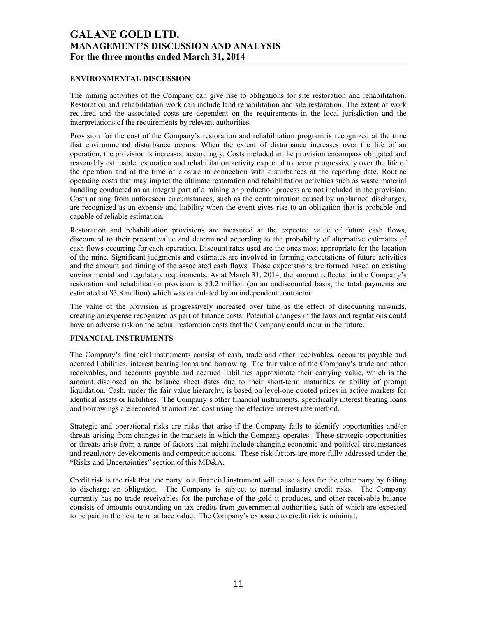## **ENVIRONMENTAL DISCUSSION**

The mining activities of the Company can give rise to obligations for site restoration and rehabilitation. Restoration and rehabilitation work can include land rehabilitation and site restoration. The extent of work required and the associated costs are dependent on the requirements in the local jurisdiction and the interpretations of the requirements by relevant authorities.

Provision for the cost of the Company's restoration and rehabilitation program is recognized at the time that environmental disturbance occurs. When the extent of disturbance increases over the life of an operation, the provision is increased accordingly. Costs included in the provision encompass obligated and reasonably estimable restoration and rehabilitation activity expected to occur progressively over the life of the operation and at the time of closure in connection with disturbances at the reporting date. Routine operating costs that may impact the ultimate restoration and rehabilitation activities such as waste material handling conducted as an integral part of a mining or production process are not included in the provision. Costs arising from unforeseen circumstances, such as the contamination caused by unplanned discharges, are recognized as an expense and liability when the event gives rise to an obligation that is probable and capable of reliable estimation.

Restoration and rehabilitation provisions are measured at the expected value of future cash flows, discounted to their present value and determined according to the probability of alternative estimates of cash flows occurring for each operation. Discount rates used are the ones most appropriate for the location of the mine. Significant judgments and estimates are involved in forming expectations of future activities and the amount and timing of the associated cash flows. Those expectations are formed based on existing environmental and regulatory requirements. As at March 31, 2014, the amount reflected in the Company's restoration and rehabilitation provision is \$3.2 million (on an undiscounted basis, the total payments are estimated at \$3.8 million) which was calculated by an independent contractor.

The value of the provision is progressively increased over time as the effect of discounting unwinds, creating an expense recognized as part of finance costs. Potential changes in the laws and regulations could have an adverse risk on the actual restoration costs that the Company could incur in the future.

## **FINANCIAL INSTRUMENTS**

The Company's financial instruments consist of cash, trade and other receivables, accounts payable and accrued liabilities, interest bearing loans and borrowing. The fair value of the Company's trade and other receivables, and accounts payable and accrued liabilities approximate their carrying value, which is the amount disclosed on the balance sheet dates due to their short-term maturities or ability of prompt liquidation. Cash, under the fair value hierarchy, is based on level-one quoted prices in active markets for identical assets or liabilities. The Company's other financial instruments, specifically interest bearing loans and borrowings are recorded at amortized cost using the effective interest rate method.

Strategic and operational risks are risks that arise if the Company fails to identify opportunities and/or threats arising from changes in the markets in which the Company operates. These strategic opportunities or threats arise from a range of factors that might include changing economic and political circumstances and regulatory developments and competitor actions. These risk factors are more fully addressed under the "Risks and Uncertainties" section of this MD&A.

Credit risk is the risk that one party to a financial instrument will cause a loss for the other party by failing to discharge an obligation. The Company is subject to normal industry credit risks. The Company currently has no trade receivables for the purchase of the gold it produces, and other receivable balance consists of amounts outstanding on tax credits from governmental authorities, each of which are expected to be paid in the near term at face value. The Company's exposure to credit risk is minimal.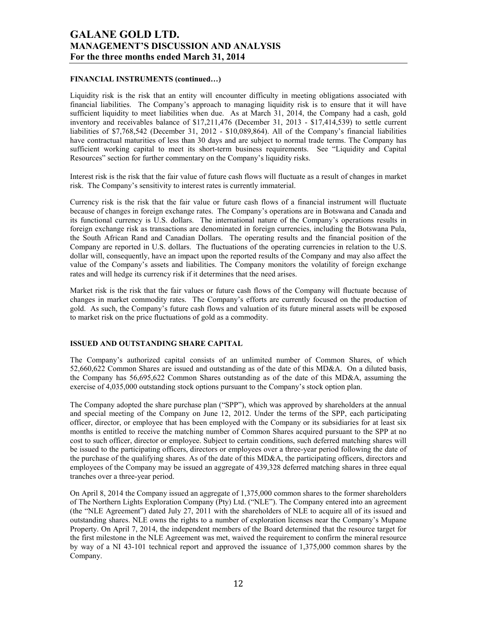## **FINANCIAL INSTRUMENTS (continued…)**

Liquidity risk is the risk that an entity will encounter difficulty in meeting obligations associated with financial liabilities. The Company's approach to managing liquidity risk is to ensure that it will have sufficient liquidity to meet liabilities when due. As at March 31, 2014, the Company had a cash, gold inventory and receivables balance of \$17,211,476 (December 31, 2013 - \$17,414,539) to settle current liabilities of \$7,768,542 (December 31, 2012 - \$10,089,864). All of the Company's financial liabilities have contractual maturities of less than 30 days and are subject to normal trade terms. The Company has sufficient working capital to meet its short-term business requirements. See "Liquidity and Capital Resources" section for further commentary on the Company's liquidity risks.

Interest risk is the risk that the fair value of future cash flows will fluctuate as a result of changes in market risk. The Company's sensitivity to interest rates is currently immaterial.

Currency risk is the risk that the fair value or future cash flows of a financial instrument will fluctuate because of changes in foreign exchange rates. The Company's operations are in Botswana and Canada and its functional currency is U.S. dollars. The international nature of the Company's operations results in foreign exchange risk as transactions are denominated in foreign currencies, including the Botswana Pula, the South African Rand and Canadian Dollars. The operating results and the financial position of the Company are reported in U.S. dollars. The fluctuations of the operating currencies in relation to the U.S. dollar will, consequently, have an impact upon the reported results of the Company and may also affect the value of the Company's assets and liabilities. The Company monitors the volatility of foreign exchange rates and will hedge its currency risk if it determines that the need arises.

Market risk is the risk that the fair values or future cash flows of the Company will fluctuate because of changes in market commodity rates. The Company's efforts are currently focused on the production of gold. As such, the Company's future cash flows and valuation of its future mineral assets will be exposed to market risk on the price fluctuations of gold as a commodity.

## **ISSUED AND OUTSTANDING SHARE CAPITAL**

The Company's authorized capital consists of an unlimited number of Common Shares, of which 52,660,622 Common Shares are issued and outstanding as of the date of this MD&A. On a diluted basis, the Company has 56,695,622 Common Shares outstanding as of the date of this MD&A, assuming the exercise of 4,035,000 outstanding stock options pursuant to the Company's stock option plan.

The Company adopted the share purchase plan ("SPP"), which was approved by shareholders at the annual and special meeting of the Company on June 12, 2012. Under the terms of the SPP, each participating officer, director, or employee that has been employed with the Company or its subsidiaries for at least six months is entitled to receive the matching number of Common Shares acquired pursuant to the SPP at no cost to such officer, director or employee. Subject to certain conditions, such deferred matching shares will be issued to the participating officers, directors or employees over a three-year period following the date of the purchase of the qualifying shares. As of the date of this MD&A, the participating officers, directors and employees of the Company may be issued an aggregate of 439,328 deferred matching shares in three equal tranches over a three-year period.

On April 8, 2014 the Company issued an aggregate of 1,375,000 common shares to the former shareholders of The Northern Lights Exploration Company (Pty) Ltd. ("NLE"). The Company entered into an agreement (the "NLE Agreement") dated July 27, 2011 with the shareholders of NLE to acquire all of its issued and outstanding shares. NLE owns the rights to a number of exploration licenses near the Company's Mupane Property. On April 7, 2014, the independent members of the Board determined that the resource target for the first milestone in the NLE Agreement was met, waived the requirement to confirm the mineral resource by way of a NI 43-101 technical report and approved the issuance of 1,375,000 common shares by the Company.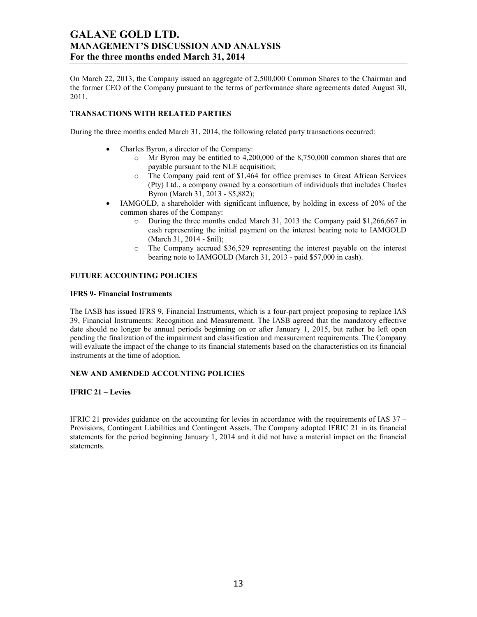On March 22, 2013, the Company issued an aggregate of 2,500,000 Common Shares to the Chairman and the former CEO of the Company pursuant to the terms of performance share agreements dated August 30, 2011.

## **TRANSACTIONS WITH RELATED PARTIES**

During the three months ended March 31, 2014, the following related party transactions occurred:

- Charles Byron, a director of the Company:
	- o Mr Byron may be entitled to 4,200,000 of the 8,750,000 common shares that are payable pursuant to the NLE acquisition;
	- o The Company paid rent of \$1,464 for office premises to Great African Services (Pty) Ltd., a company owned by a consortium of individuals that includes Charles Byron (March 31, 2013 - \$5,882);
- IAMGOLD, a shareholder with significant influence, by holding in excess of 20% of the common shares of the Company:
	- o During the three months ended March 31, 2013 the Company paid \$1,266,667 in cash representing the initial payment on the interest bearing note to IAMGOLD (March 31, 2014 - \$nil);
	- o The Company accrued \$36,529 representing the interest payable on the interest bearing note to IAMGOLD (March 31, 2013 - paid \$57,000 in cash).

## **FUTURE ACCOUNTING POLICIES**

#### **IFRS 9- Financial Instruments**

The IASB has issued IFRS 9, Financial Instruments, which is a four-part project proposing to replace IAS 39, Financial Instruments: Recognition and Measurement. The IASB agreed that the mandatory effective date should no longer be annual periods beginning on or after January 1, 2015, but rather be left open pending the finalization of the impairment and classification and measurement requirements. The Company will evaluate the impact of the change to its financial statements based on the characteristics on its financial instruments at the time of adoption.

## **NEW AND AMENDED ACCOUNTING POLICIES**

#### **IFRIC 21 – Levies**

IFRIC 21 provides guidance on the accounting for levies in accordance with the requirements of IAS 37 – Provisions, Contingent Liabilities and Contingent Assets. The Company adopted IFRIC 21 in its financial statements for the period beginning January 1, 2014 and it did not have a material impact on the financial statements.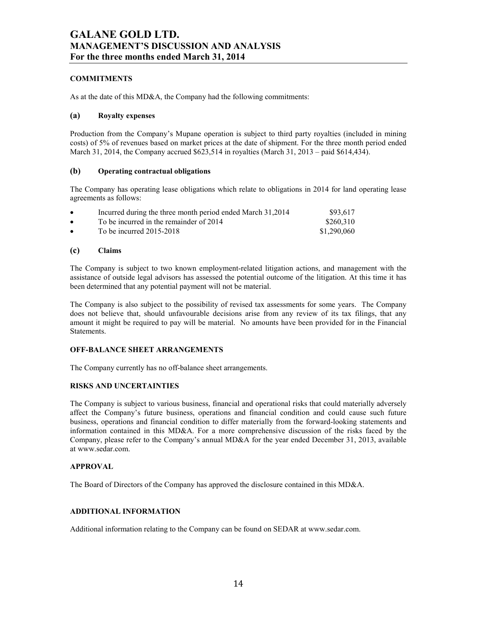## **COMMITMENTS**

As at the date of this MD&A, the Company had the following commitments:

### **(a) Royalty expenses**

Production from the Company's Mupane operation is subject to third party royalties (included in mining costs) of 5% of revenues based on market prices at the date of shipment. For the three month period ended March 31, 2014, the Company accrued \$623,514 in royalties (March 31, 2013 – paid \$614,434).

### **(b) Operating contractual obligations**

The Company has operating lease obligations which relate to obligations in 2014 for land operating lease agreements as follows:

| $\bullet$ | Incurred during the three month period ended March 31,2014 | \$93.617    |
|-----------|------------------------------------------------------------|-------------|
| $\bullet$ | To be incurred in the remainder of 2014                    | \$260,310   |
| $\bullet$ | To be incurred 2015-2018                                   | \$1,290,060 |

### **(c) Claims**

The Company is subject to two known employment-related litigation actions, and management with the assistance of outside legal advisors has assessed the potential outcome of the litigation. At this time it has been determined that any potential payment will not be material.

The Company is also subject to the possibility of revised tax assessments for some years. The Company does not believe that, should unfavourable decisions arise from any review of its tax filings, that any amount it might be required to pay will be material. No amounts have been provided for in the Financial Statements.

## **OFF-BALANCE SHEET ARRANGEMENTS**

The Company currently has no off-balance sheet arrangements.

## **RISKS AND UNCERTAINTIES**

The Company is subject to various business, financial and operational risks that could materially adversely affect the Company's future business, operations and financial condition and could cause such future business, operations and financial condition to differ materially from the forward-looking statements and information contained in this MD&A. For a more comprehensive discussion of the risks faced by the Company, please refer to the Company's annual MD&A for the year ended December 31, 2013, available at www.sedar.com.

#### **APPROVAL**

The Board of Directors of the Company has approved the disclosure contained in this MD&A.

## **ADDITIONAL INFORMATION**

Additional information relating to the Company can be found on SEDAR at www.sedar.com.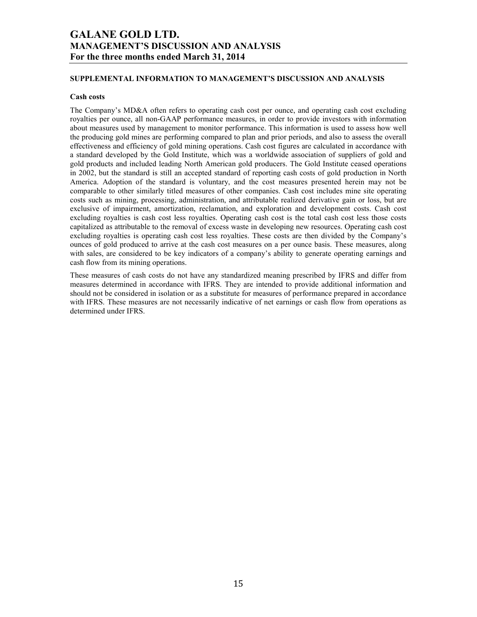### **SUPPLEMENTAL INFORMATION TO MANAGEMENT'S DISCUSSION AND ANALYSIS**

#### **Cash costs**

The Company's MD&A often refers to operating cash cost per ounce, and operating cash cost excluding royalties per ounce, all non-GAAP performance measures, in order to provide investors with information about measures used by management to monitor performance. This information is used to assess how well the producing gold mines are performing compared to plan and prior periods, and also to assess the overall effectiveness and efficiency of gold mining operations. Cash cost figures are calculated in accordance with a standard developed by the Gold Institute, which was a worldwide association of suppliers of gold and gold products and included leading North American gold producers. The Gold Institute ceased operations in 2002, but the standard is still an accepted standard of reporting cash costs of gold production in North America. Adoption of the standard is voluntary, and the cost measures presented herein may not be comparable to other similarly titled measures of other companies. Cash cost includes mine site operating costs such as mining, processing, administration, and attributable realized derivative gain or loss, but are exclusive of impairment, amortization, reclamation, and exploration and development costs. Cash cost excluding royalties is cash cost less royalties. Operating cash cost is the total cash cost less those costs capitalized as attributable to the removal of excess waste in developing new resources. Operating cash cost excluding royalties is operating cash cost less royalties. These costs are then divided by the Company's ounces of gold produced to arrive at the cash cost measures on a per ounce basis. These measures, along with sales, are considered to be key indicators of a company's ability to generate operating earnings and cash flow from its mining operations.

These measures of cash costs do not have any standardized meaning prescribed by IFRS and differ from measures determined in accordance with IFRS. They are intended to provide additional information and should not be considered in isolation or as a substitute for measures of performance prepared in accordance with IFRS. These measures are not necessarily indicative of net earnings or cash flow from operations as determined under IFRS.